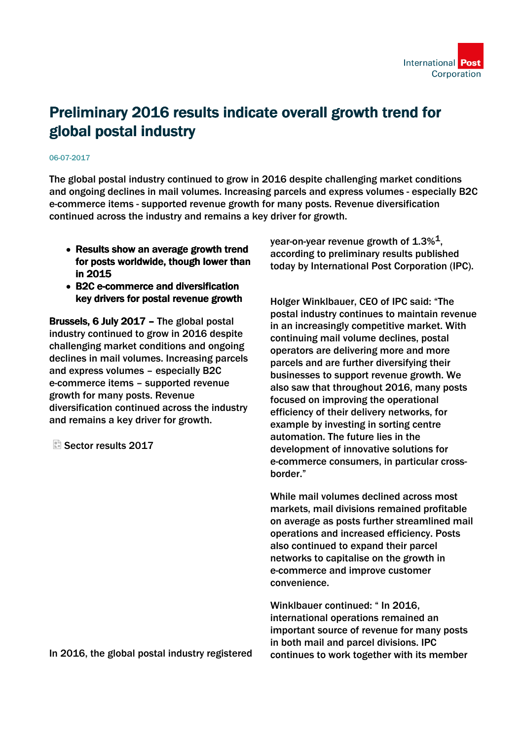

## Preliminary 2016 results indicate overall growth trend for global postal industry

## 06-07-2017

The global postal industry continued to grow in 2016 despite challenging market conditions and ongoing declines in mail volumes. Increasing parcels and express volumes - especially B2C e-commerce items - supported revenue growth for many posts. Revenue diversification continued across the industry and remains a key driver for growth.

- Results show an average growth trend for posts worldwide, though lower than in 2015
- B2C e-commerce and diversification key drivers for postal revenue growth

Brussels, 6 July 2017 – The global postal industry continued to grow in 2016 despite challenging market conditions and ongoing declines in mail volumes. Increasing parcels and express volumes – especially B2C e-commerce items – supported revenue growth for many posts. Revenue diversification continued across the industry and remains a key driver for growth.

Sector results 2017

year-on-year revenue growth of  $1.3\%$ <sup>1</sup>, according to preliminary results published today by International Post Corporation (IPC).

Holger Winklbauer, CEO of IPC said: "The postal industry continues to maintain revenue in an increasingly competitive market. With continuing mail volume declines, postal operators are delivering more and more parcels and are further diversifying their businesses to support revenue growth. We also saw that throughout 2016, many posts focused on improving the operational efficiency of their delivery networks, for example by investing in sorting centre automation. The future lies in the development of innovative solutions for e-commerce consumers, in particular crossborder."

While mail volumes declined across most markets, mail divisions remained profitable on average as posts further streamlined mail operations and increased efficiency. Posts also continued to expand their parcel networks to capitalise on the growth in e-commerce and improve customer convenience.

Winklbauer continued: " In 2016, international operations remained an important source of revenue for many posts in both mail and parcel divisions. IPC continues to work together with its member

In 2016, the global postal industry registered